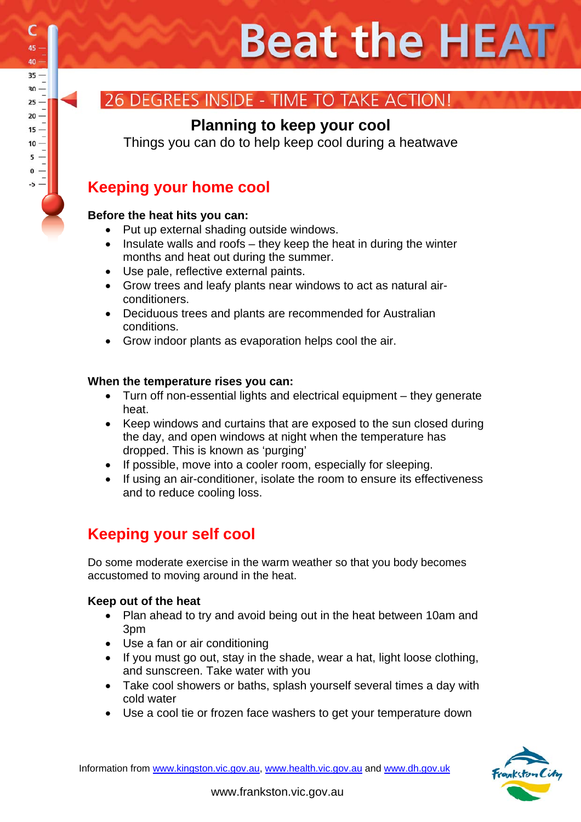## **DEGREES INSIDE - TIME TO TAKE ACTION!**

### **Planning to keep your cool**

Things you can do to help keep cool during a heatwave

## **Keeping your home cool**

#### **Before the heat hits you can:**

- Put up external shading outside windows.
- Insulate walls and roofs they keep the heat in during the winter months and heat out during the summer.
- Use pale, reflective external paints.
- Grow trees and leafy plants near windows to act as natural airconditioners.
- Deciduous trees and plants are recommended for Australian conditions.
- Grow indoor plants as evaporation helps cool the air.

#### **When the temperature rises you can:**

- Turn off non-essential lights and electrical equipment they generate heat.
- Keep windows and curtains that are exposed to the sun closed during the day, and open windows at night when the temperature has dropped. This is known as 'purging'
- If possible, move into a cooler room, especially for sleeping.
- If using an air-conditioner, isolate the room to ensure its effectiveness and to reduce cooling loss.

## **Keeping your self cool**

Do some moderate exercise in the warm weather so that you body becomes accustomed to moving around in the heat.

#### **Keep out of the heat**

- Plan ahead to try and avoid being out in the heat between 10am and 3pm
- Use a fan or air conditioning
- If you must go out, stay in the shade, wear a hat, light loose clothing, and sunscreen. Take water with you
- Take cool showers or baths, splash yourself several times a day with cold water
- Use a cool tie or frozen face washers to get your temperature down



Information from www.kingston.vic.gov.au, www.health.vic.gov.au and www.dh.gov.uk